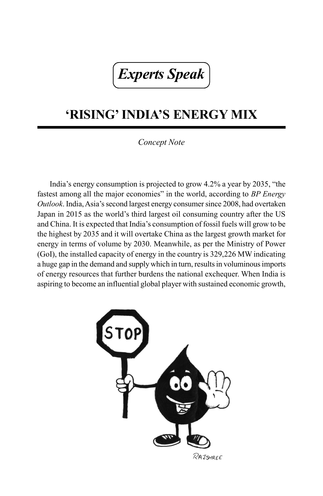## *Experts Speak*

## **'RISING' INDIA'S ENERGY MIX**

## *Concept Note*

India's energy consumption is projected to grow 4.2% a year by 2035, "the fastest among all the major economies" in the world, according to *BP Energy Outlook*. India, Asia's second largest energy consumer since 2008, had overtaken Japan in 2015 as the world's third largest oil consuming country after the US and China. It is expected that India's consumption of fossil fuels will grow to be the highest by 2035 and it will overtake China as the largest growth market for energy in terms of volume by 2030. Meanwhile, as per the Ministry of Power (GoI), the installed capacity of energy in the country is 329,226 MW indicating a huge gap in the demand and supply which in turn, results in voluminous imports of energy resources that further burdens the national exchequer. When India is aspiring to become an influential global player with sustained economic growth,